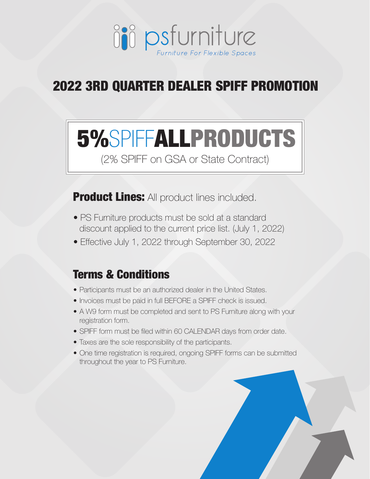

## 2022 3RD QUARTER DEALER SPIFF PROMOTION

# 5%SPIFFALLPRODUCTS

(2% SPIFF on GSA or State Contract)

**Product Lines:** All product lines included.

- PS Furniture products must be sold at a standard discount applied to the current price list. (July 1, 2022)
- Effective July 1, 2022 through September 30, 2022

#### Terms & Conditions

- Participants must be an authorized dealer in the United States.
- Invoices must be paid in full BEFORE a SPIFF check is issued.
- A W9 form must be completed and sent to PS Furniture along with your registration form.
- SPIFF form must be filed within 60 CALENDAR days from order date.
- Taxes are the sole responsibility of the participants.
- One time registration is required, ongoing SPIFF forms can be submitted throughout the year to PS Furniture.